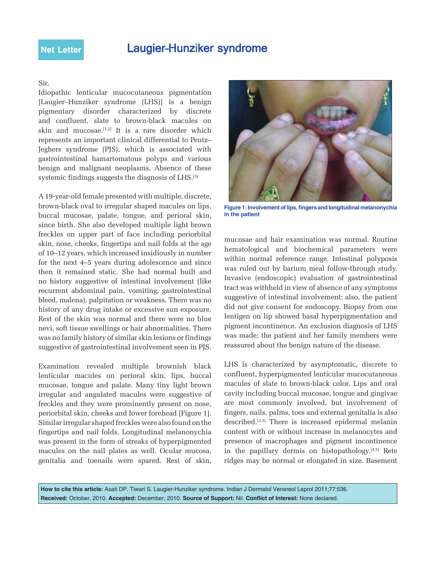## Laugier–Hunziker syndrome

## Sir,

Idiopathic lenticular mucocutaneous pigmentation [Laugier–Hunziker syndrome (LHS)] is a benign pigmentary disorder characterized by discrete and confluent, slate to brown-black macules on skin and mucosae. $[1,2]$  It is a rare disorder which represents an important clinical differential to Peutz– Jeghers syndrome (PJS), which is associated with gastrointestinal hamartomatous polyps and various benign and malignant neoplasms. Absence of these systemic findings suggests the diagnosis of LHS.[3]

A 19-year-old female presented with multiple, discrete, brown-black oval to irregular shaped macules on lips, buccal mucosae, palate, tongue, and perioral skin, since birth. She also developed multiple light brown freckles on upper part of face including periorbital skin, nose, cheeks, fingertips and nail folds at the age of 10–12 years, which increased insidiously in number for the next 4–5 years during adolescence and since then it remained static. She had normal built and no history suggestive of intestinal involvement (like recurrent abdominal pain, vomiting, gastrointestinal bleed, malena), palpitation or weakness. There was no history of any drug intake or excessive sun exposure. Rest of the skin was normal and there were no blue nevi, soft tissue swellings or hair abnormalities. There was no family history of similar skin lesions or findings suggestive of gastrointestinal involvement seen in PJS.

Examination revealed multiple brownish black lenticular macules on perioral skin, lips, buccal mucosae, tongue and palate. Many tiny light brown irregular and angulated macules were suggestive of freckles and they were prominently present on nose, periorbital skin, cheeks and lower forehead [Figure 1]. Similar irregular shaped freckles were also found on the fingertips and nail folds. Longitudinal melanonychia was present in the form of streaks of hyperpigmented macules on the nail plates as well. Ocular mucosa, genitalia and toenails were spared. Rest of skin,



**Figure 1: Involvement of lips, fingers and longitudinal melanonychia in the patient**

mucosae and hair examination was normal. Routine hematological and biochemical parameters were within normal reference range. Intestinal polyposis was ruled out by barium meal follow-through study. Invasive (endoscopic) evaluation of gastrointestinal tract was withheld in view of absence of any symptoms suggestive of intestinal involvement; also, the patient did not give consent for endoscopy. Biopsy from one lentigen on lip showed basal hyperpigmentation and pigment incontinence. An exclusion diagnosis of LHS was made; the patient and her family members were reassured about the benign nature of the disease.

LHS is characterized by asymptomatic, discrete to confluent, hyperpigmented lenticular mucocutaneous macules of slate to brown-black color. Lips and oral cavity including buccal mucosae, tongue and gingivae are most commonly involved, but involvement of fingers, nails, palms, toes and external genitalia is also described.[2,3] There is increased epidermal melanin content with or without increase in melanocytes and presence of macrophages and pigment incontinence in the papillary dermis on histopathology.[4,5] Rete ridges may be normal or elongated in size. Basement

**How to cite this article:** Asati DP, Tiwari S. Laugier-Hunziker syndrome. Indian J Dermatol Venereol Leprol 2011;77:536. **Received:** October, 2010. **Accepted:** December, 2010. **Source of Support:** Nil. **Conflict of Interest:** None declared.